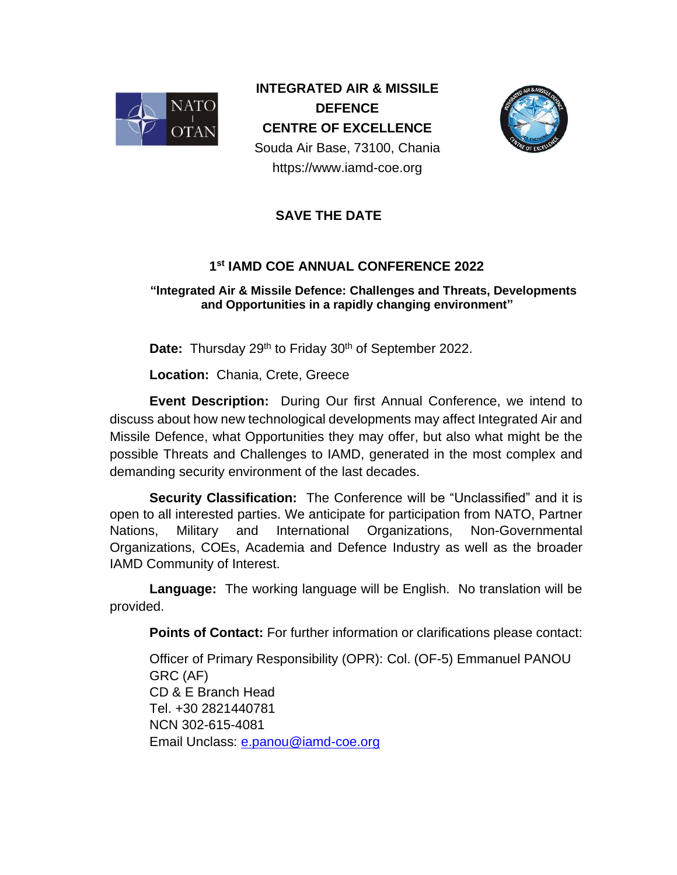

**INTEGRATED AIR & MISSILE DEFENCE CENTRE OF EXCELLENCE** Souda Air Base, 73100, Chania https://www.iamd-coe.org



## **SAVE THE DATE**

## **1 st IAMD COE ANNUAL CONFERENCE 2022**

## **"Ιntegrated Air & Missile Defence: Challenges and Threats, Developments and Opportunities in a rapidly changing environment"**

Date: Thursday 29<sup>th</sup> to Friday 30<sup>th</sup> of September 2022.

**Location:** Chania, Crete, Greece

**Event Description:** During Our first Annual Conference, we intend to discuss about how new technological developments may affect Integrated Air and Missile Defence, what Opportunities they may offer, but also what might be the possible Threats and Challenges to IAMD, generated in the most complex and demanding security environment of the last decades.

**Security Classification:** The Conference will be "Unclassified" and it is open to all interested parties. We anticipate for participation from NATO, Partner Nations, Military and International Organizations, Non-Governmental Organizations, COEs, Academia and Defence Industry as well as the broader IAMD Community of Interest.

**Language:** The working language will be English. No translation will be provided.

**Points of Contact:** For further information or clarifications please contact:

Officer of Primary Responsibility (OPR): Col. (OF-5) Emmanuel PANOU GRC (AF) CD & E Branch Head Tel. +30 2821440781 NCN 302-615-4081 Email Unclass: [e.panou@iamd-coe.org](mailto:e.panou@iamd-coe.org)